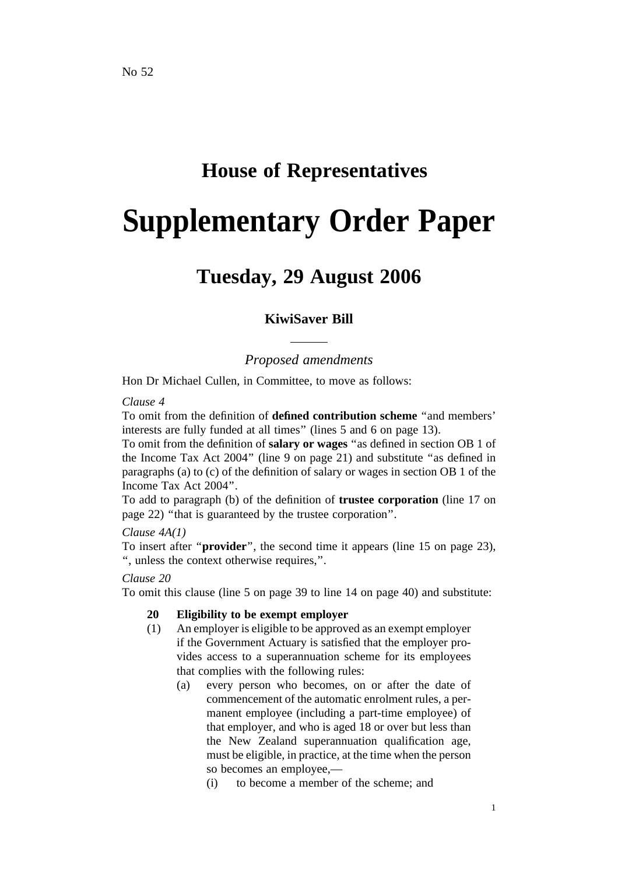# **House of Representatives**

# **Supplementary Order Paper**

# **Tuesday, 29 August 2006**

# **KiwiSaver Bill**

# *Proposed amendments*

Hon Dr Michael Cullen, in Committee, to move as follows:

#### *Clause 4*

To omit from the definition of **defined contribution scheme** ''and members' interests are fully funded at all times'' (lines 5 and 6 on page 13).

To omit from the definition of **salary or wages** ''as defined in section OB 1 of the Income Tax Act 2004'' (line 9 on page 21) and substitute ''as defined in paragraphs (a) to (c) of the definition of salary or wages in section OB 1 of the Income Tax Act 2004''.

To add to paragraph (b) of the definition of **trustee corporation** (line 17 on page 22) ''that is guaranteed by the trustee corporation''.

## *Clause 4A(1)*

To insert after ''**provider**'', the second time it appears (line 15 on page 23), '', unless the context otherwise requires,''.

#### *Clause 20*

To omit this clause (line 5 on page 39 to line 14 on page 40) and substitute:

## **20 Eligibility to be exempt employer**

- (1) An employer is eligible to be approved as an exempt employer if the Government Actuary is satisfied that the employer provides access to a superannuation scheme for its employees that complies with the following rules:
	- (a) every person who becomes, on or after the date of commencement of the automatic enrolment rules, a permanent employee (including a part-time employee) of that employer, and who is aged 18 or over but less than the New Zealand superannuation qualification age, must be eligible, in practice, at the time when the person so becomes an employee,—
		- (i) to become a member of the scheme; and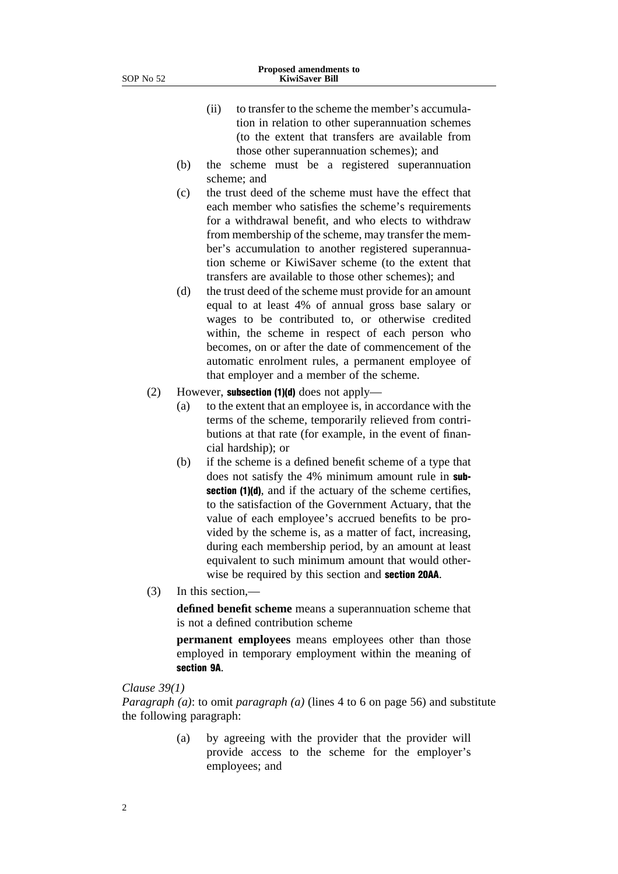- (ii) to transfer to the scheme the member's accumulation in relation to other superannuation schemes (to the extent that transfers are available from those other superannuation schemes); and
- (b) the scheme must be a registered superannuation scheme; and
- (c) the trust deed of the scheme must have the effect that each member who satisfies the scheme's requirements for a withdrawal benefit, and who elects to withdraw from membership of the scheme, may transfer the member's accumulation to another registered superannuation scheme or KiwiSaver scheme (to the extent that transfers are available to those other schemes); and
- (d) the trust deed of the scheme must provide for an amount equal to at least 4% of annual gross base salary or wages to be contributed to, or otherwise credited within, the scheme in respect of each person who becomes, on or after the date of commencement of the automatic enrolment rules, a permanent employee of that employer and a member of the scheme.
- (2) However, subsection (1)(d) does not apply—
	- (a) to the extent that an employee is, in accordance with the terms of the scheme, temporarily relieved from contributions at that rate (for example, in the event of financial hardship); or
	- (b) if the scheme is a defined benefit scheme of a type that does not satisfy the 4% minimum amount rule in subsection (1)(d), and if the actuary of the scheme certifies, to the satisfaction of the Government Actuary, that the value of each employee's accrued benefits to be provided by the scheme is, as a matter of fact, increasing, during each membership period, by an amount at least equivalent to such minimum amount that would otherwise be required by this section and section 20AA.
- (3) In this section,—

**defined benefit scheme** means a superannuation scheme that is not a defined contribution scheme

**permanent employees** means employees other than those employed in temporary employment within the meaning of section 9A.

#### *Clause 39(1)*

*Paragraph (a)*: to omit *paragraph (a)* (lines 4 to 6 on page 56) and substitute the following paragraph:

> (a) by agreeing with the provider that the provider will provide access to the scheme for the employer's employees; and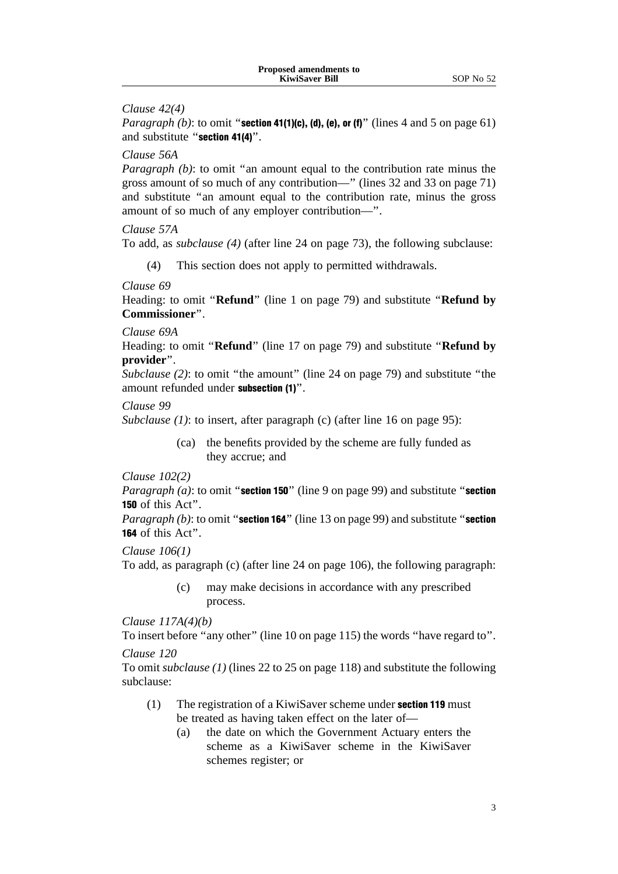#### *Clause 42(4)*

*Paragraph (b)*: to omit "**section 41(1)(c), (d), (e), or (f)**" (lines 4 and 5 on page 61) and substitute ''section 41(4)''.

#### *Clause 56A*

*Paragraph (b)*: to omit "an amount equal to the contribution rate minus the gross amount of so much of any contribution—'' (lines 32 and 33 on page 71) and substitute ''an amount equal to the contribution rate, minus the gross amount of so much of any employer contribution—''.

#### *Clause 57A*

To add, as *subclause (4)* (after line 24 on page 73), the following subclause:

(4) This section does not apply to permitted withdrawals.

#### *Clause 69*

Heading: to omit ''**Refund**'' (line 1 on page 79) and substitute ''**Refund by Commissioner**''.

#### *Clause 69A*

Heading: to omit ''**Refund**'' (line 17 on page 79) and substitute ''**Refund by provider**''.

*Subclause* (2): to omit "the amount" (line 24 on page 79) and substitute "the amount refunded under subsection (1)''.

#### *Clause 99*

*Subclause (1)*: to insert, after paragraph (c) (after line 16 on page 95):

(ca) the benefits provided by the scheme are fully funded as they accrue; and

#### *Clause 102(2)*

*Paragraph (a)*: to omit "**section 150**" (line 9 on page 99) and substitute "**section** 150 of this Act''.

*Paragraph (b)*: to omit "section 164" (line 13 on page 99) and substitute "section 164 of this Act''.

#### *Clause 106(1)*

To add, as paragraph (c) (after line 24 on page 106), the following paragraph:

(c) may make decisions in accordance with any prescribed process.

*Clause 117A(4)(b)*

To insert before "any other" (line 10 on page 115) the words "have regard to". *Clause 120*

To omit *subclause (1)* (lines 22 to 25 on page 118) and substitute the following subclause:

- (1) The registration of a KiwiSaver scheme under section 119 must be treated as having taken effect on the later of—
	- (a) the date on which the Government Actuary enters the scheme as a KiwiSaver scheme in the KiwiSaver schemes register; or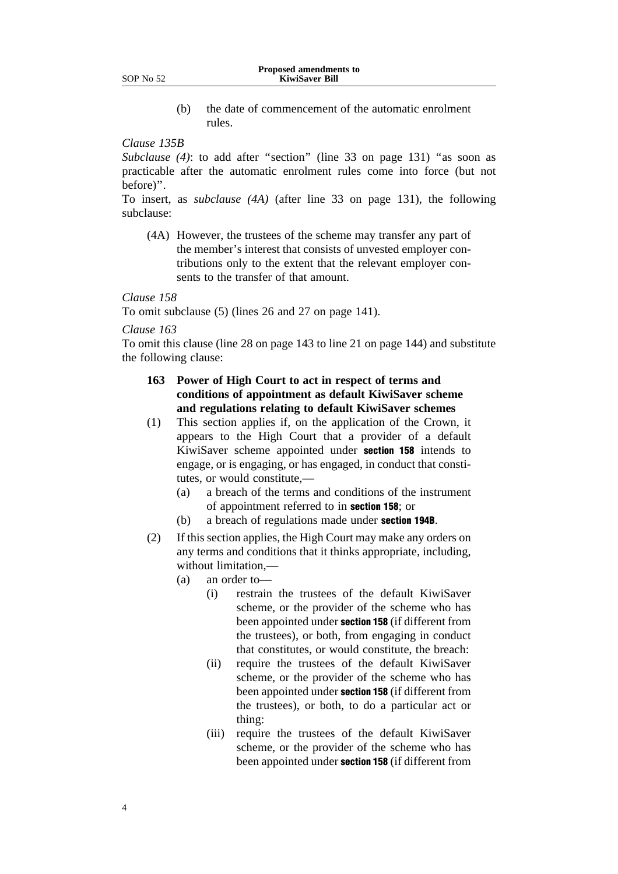(b) the date of commencement of the automatic enrolment rules.

#### *Clause 135B*

*Subclause* (4): to add after "section" (line 33 on page 131) "as soon as practicable after the automatic enrolment rules come into force (but not before)''.

To insert, as *subclause (4A)* (after line 33 on page 131), the following subclause:

(4A) However, the trustees of the scheme may transfer any part of the member's interest that consists of unvested employer contributions only to the extent that the relevant employer consents to the transfer of that amount.

#### *Clause 158*

To omit subclause (5) (lines 26 and 27 on page 141).

*Clause 163*

To omit this clause (line 28 on page 143 to line 21 on page 144) and substitute the following clause:

- **163 Power of High Court to act in respect of terms and conditions of appointment as default KiwiSaver scheme and regulations relating to default KiwiSaver schemes**
- (1) This section applies if, on the application of the Crown, it appears to the High Court that a provider of a default KiwiSaver scheme appointed under section 158 intends to engage, or is engaging, or has engaged, in conduct that constitutes, or would constitute,—
	- (a) a breach of the terms and conditions of the instrument of appointment referred to in section 158; or
	- (b) a breach of regulations made under section 194B.
- (2) If this section applies, the High Court may make any orders on any terms and conditions that it thinks appropriate, including, without limitation,—
	- (a) an order to—
		- (i) restrain the trustees of the default KiwiSaver scheme, or the provider of the scheme who has been appointed under section 158 (if different from the trustees), or both, from engaging in conduct that constitutes, or would constitute, the breach:
		- (ii) require the trustees of the default KiwiSaver scheme, or the provider of the scheme who has been appointed under section 158 (if different from the trustees), or both, to do a particular act or thing:
		- (iii) require the trustees of the default KiwiSaver scheme, or the provider of the scheme who has been appointed under section 158 (if different from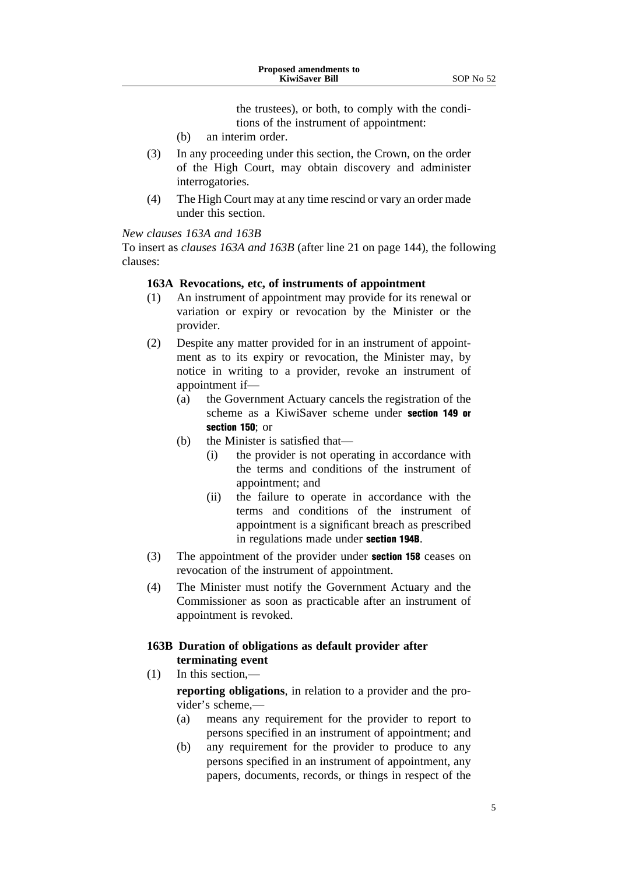the trustees), or both, to comply with the conditions of the instrument of appointment:

- (b) an interim order.
- (3) In any proceeding under this section, the Crown, on the order of the High Court, may obtain discovery and administer interrogatories.
- (4) The High Court may at any time rescind or vary an order made under this section.

#### *New clauses 163A and 163B*

To insert as *clauses 163A and 163B* (after line 21 on page 144), the following clauses:

#### **163A Revocations, etc, of instruments of appointment**

- (1) An instrument of appointment may provide for its renewal or variation or expiry or revocation by the Minister or the provider.
- (2) Despite any matter provided for in an instrument of appointment as to its expiry or revocation, the Minister may, by notice in writing to a provider, revoke an instrument of appointment if—
	- (a) the Government Actuary cancels the registration of the scheme as a KiwiSaver scheme under section 149 or section 150; or
	- (b) the Minister is satisfied that—
		- (i) the provider is not operating in accordance with the terms and conditions of the instrument of appointment; and
		- (ii) the failure to operate in accordance with the terms and conditions of the instrument of appointment is a significant breach as prescribed in regulations made under section 194B.
- (3) The appointment of the provider under section 158 ceases on revocation of the instrument of appointment.
- (4) The Minister must notify the Government Actuary and the Commissioner as soon as practicable after an instrument of appointment is revoked.

#### **163B Duration of obligations as default provider after terminating event**

(1) In this section,—

**reporting obligations**, in relation to a provider and the provider's scheme,—

- (a) means any requirement for the provider to report to persons specified in an instrument of appointment; and
- (b) any requirement for the provider to produce to any persons specified in an instrument of appointment, any papers, documents, records, or things in respect of the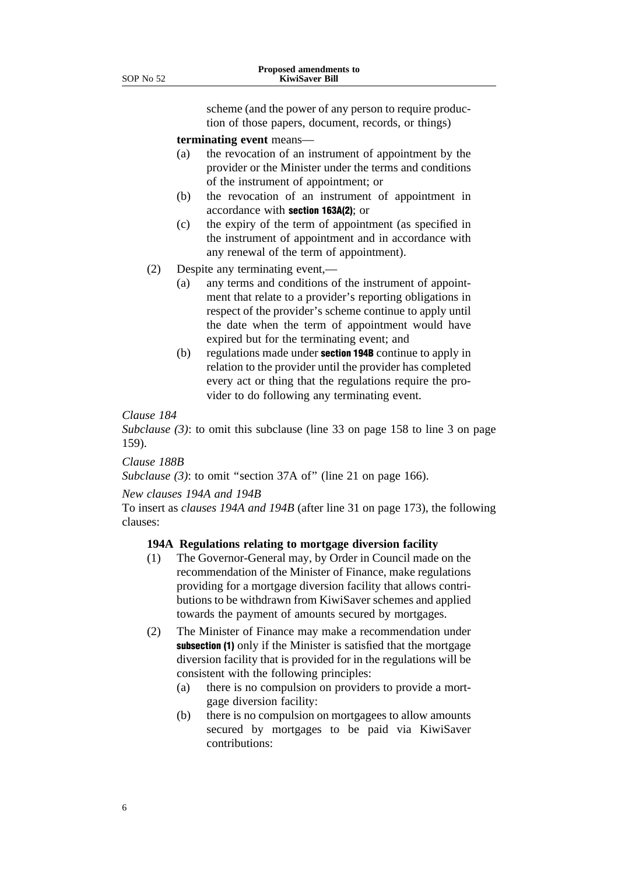scheme (and the power of any person to require production of those papers, document, records, or things)

**terminating event** means—

- (a) the revocation of an instrument of appointment by the provider or the Minister under the terms and conditions of the instrument of appointment; or
- (b) the revocation of an instrument of appointment in accordance with section 163A(2); or
- (c) the expiry of the term of appointment (as specified in the instrument of appointment and in accordance with any renewal of the term of appointment).
- (2) Despite any terminating event,—
	- (a) any terms and conditions of the instrument of appointment that relate to a provider's reporting obligations in respect of the provider's scheme continue to apply until the date when the term of appointment would have expired but for the terminating event; and
	- (b) regulations made under section 194B continue to apply in relation to the provider until the provider has completed every act or thing that the regulations require the provider to do following any terminating event.

#### *Clause 184*

*Subclause (3)*: to omit this subclause (line 33 on page 158 to line 3 on page 159).

#### *Clause 188B*

*Subclause (3)*: to omit ''section 37A of'' (line 21 on page 166).

#### *New clauses 194A and 194B*

To insert as *clauses 194A and 194B* (after line 31 on page 173), the following clauses:

#### **194A Regulations relating to mortgage diversion facility**

- (1) The Governor-General may, by Order in Council made on the recommendation of the Minister of Finance, make regulations providing for a mortgage diversion facility that allows contributions to be withdrawn from KiwiSaver schemes and applied towards the payment of amounts secured by mortgages.
- (2) The Minister of Finance may make a recommendation under subsection (1) only if the Minister is satisfied that the mortgage diversion facility that is provided for in the regulations will be consistent with the following principles:
	- (a) there is no compulsion on providers to provide a mortgage diversion facility:
	- (b) there is no compulsion on mortgagees to allow amounts secured by mortgages to be paid via KiwiSaver contributions: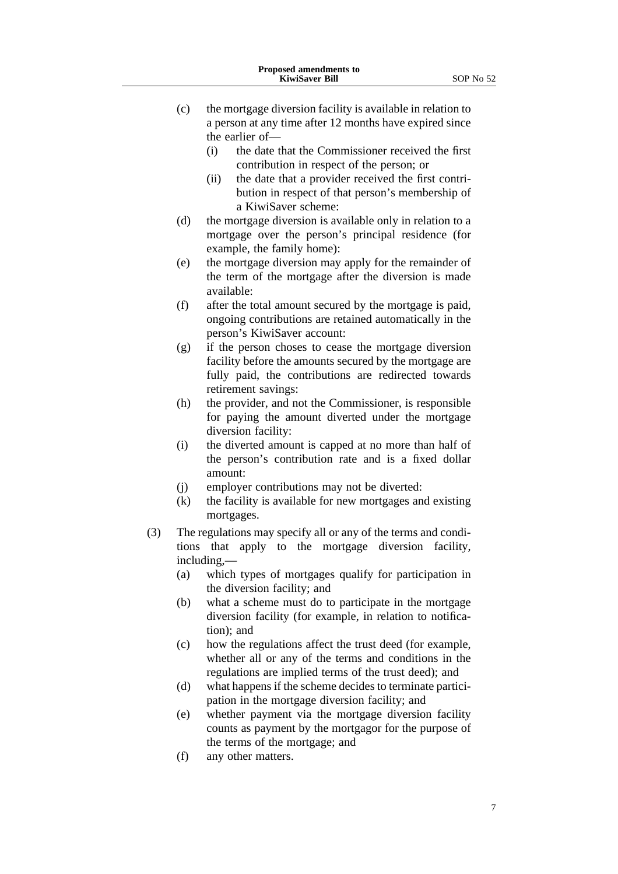- (c) the mortgage diversion facility is available in relation to a person at any time after 12 months have expired since the earlier of—
	- (i) the date that the Commissioner received the first contribution in respect of the person; or
	- (ii) the date that a provider received the first contribution in respect of that person's membership of a KiwiSaver scheme:
- (d) the mortgage diversion is available only in relation to a mortgage over the person's principal residence (for example, the family home):
- (e) the mortgage diversion may apply for the remainder of the term of the mortgage after the diversion is made available:
- (f) after the total amount secured by the mortgage is paid, ongoing contributions are retained automatically in the person's KiwiSaver account:
- (g) if the person choses to cease the mortgage diversion facility before the amounts secured by the mortgage are fully paid, the contributions are redirected towards retirement savings:
- (h) the provider, and not the Commissioner, is responsible for paying the amount diverted under the mortgage diversion facility:
- (i) the diverted amount is capped at no more than half of the person's contribution rate and is a fixed dollar amount:
- (j) employer contributions may not be diverted:
- (k) the facility is available for new mortgages and existing mortgages.
- (3) The regulations may specify all or any of the terms and conditions that apply to the mortgage diversion facility, including,—
	- (a) which types of mortgages qualify for participation in the diversion facility; and
	- (b) what a scheme must do to participate in the mortgage diversion facility (for example, in relation to notification); and
	- (c) how the regulations affect the trust deed (for example, whether all or any of the terms and conditions in the regulations are implied terms of the trust deed); and
	- (d) what happens if the scheme decides to terminate participation in the mortgage diversion facility; and
	- (e) whether payment via the mortgage diversion facility counts as payment by the mortgagor for the purpose of the terms of the mortgage; and
	- (f) any other matters.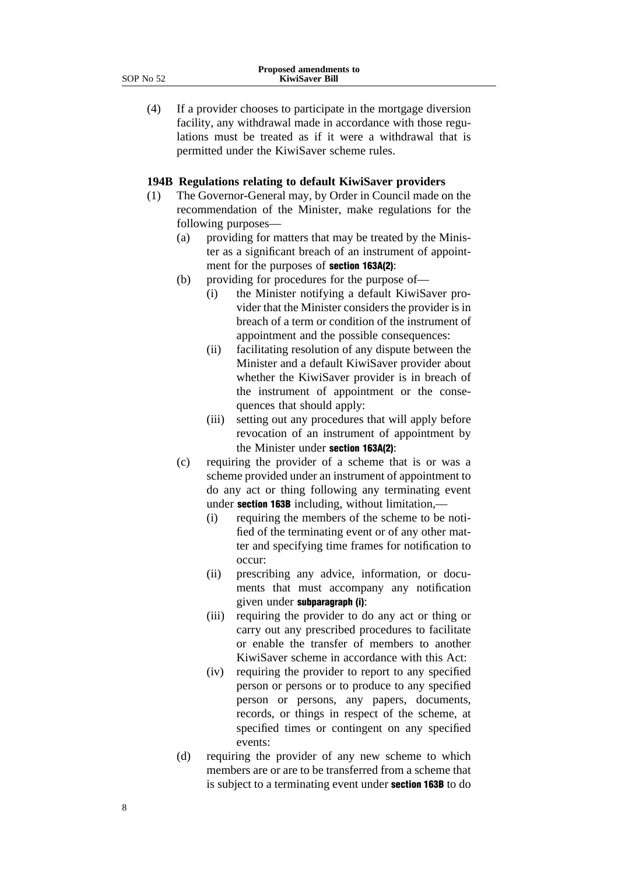(4) If a provider chooses to participate in the mortgage diversion facility, any withdrawal made in accordance with those regulations must be treated as if it were a withdrawal that is permitted under the KiwiSaver scheme rules.

#### **194B Regulations relating to default KiwiSaver providers**

- (1) The Governor-General may, by Order in Council made on the recommendation of the Minister, make regulations for the following purposes—
	- (a) providing for matters that may be treated by the Minister as a significant breach of an instrument of appointment for the purposes of section 163A(2):
	- (b) providing for procedures for the purpose of—
		- (i) the Minister notifying a default KiwiSaver provider that the Minister considers the provider is in breach of a term or condition of the instrument of appointment and the possible consequences:
		- (ii) facilitating resolution of any dispute between the Minister and a default KiwiSaver provider about whether the KiwiSaver provider is in breach of the instrument of appointment or the consequences that should apply:
		- (iii) setting out any procedures that will apply before revocation of an instrument of appointment by the Minister under section 163A(2):
	- (c) requiring the provider of a scheme that is or was a scheme provided under an instrument of appointment to do any act or thing following any terminating event under **section 163B** including, without limitation,—
		- (i) requiring the members of the scheme to be notified of the terminating event or of any other matter and specifying time frames for notification to occur:
		- (ii) prescribing any advice, information, or documents that must accompany any notification given under subparagraph (i):
		- (iii) requiring the provider to do any act or thing or carry out any prescribed procedures to facilitate or enable the transfer of members to another KiwiSaver scheme in accordance with this Act:
		- (iv) requiring the provider to report to any specified person or persons or to produce to any specified person or persons, any papers, documents, records, or things in respect of the scheme, at specified times or contingent on any specified events:
	- (d) requiring the provider of any new scheme to which members are or are to be transferred from a scheme that is subject to a terminating event under **section 163B** to do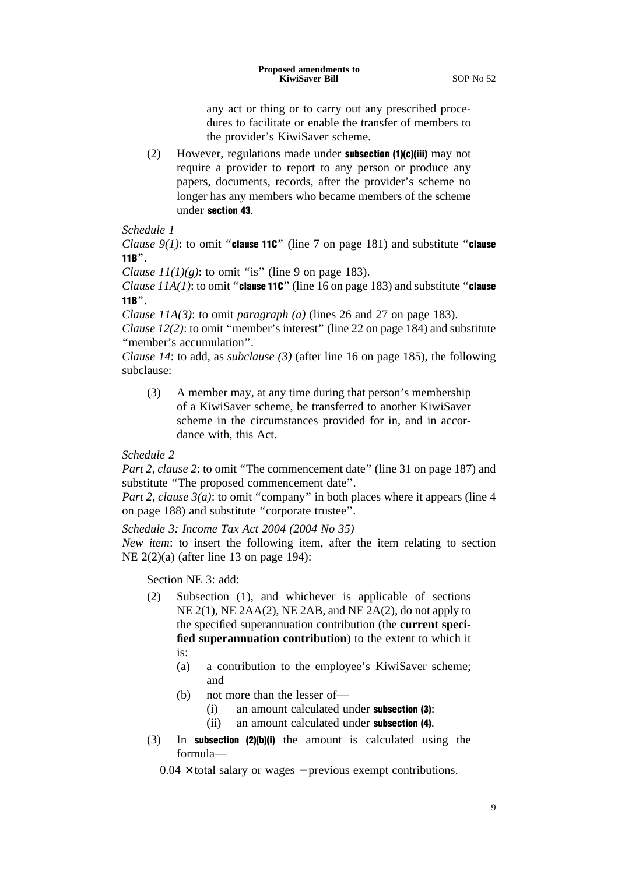(2) However, regulations made under subsection (1)(c)(iii) may not require a provider to report to any person or produce any papers, documents, records, after the provider's scheme no longer has any members who became members of the scheme under section 43.

#### *Schedule 1*

*Clause 9(1)*: to omit "**clause 11C**" (line 7 on page 181) and substitute "**clause** 11B''.

*Clause*  $11(1)(g)$ *:* to omit "is" (line 9 on page 183).

*Clause 11A(1)*: to omit "**clause 11C**" (line 16 on page 183) and substitute "**clause** 11B''.

*Clause 11A(3)*: to omit *paragraph (a)* (lines 26 and 27 on page 183).

*Clause 12(2)*: to omit ''member's interest'' (line 22 on page 184) and substitute "member's accumulation".

*Clause 14*: to add, as *subclause (3)* (after line 16 on page 185), the following subclause:

(3) A member may, at any time during that person's membership of a KiwiSaver scheme, be transferred to another KiwiSaver scheme in the circumstances provided for in, and in accordance with, this Act.

*Schedule 2*

*Part 2, clause 2*: to omit "The commencement date" (line 31 on page 187) and substitute ''The proposed commencement date''.

*Part 2, clause 3(a)*: to omit "company" in both places where it appears (line 4) on page 188) and substitute ''corporate trustee''.

*Schedule 3: Income Tax Act 2004 (2004 No 35)*

*New item*: to insert the following item, after the item relating to section NE 2(2)(a) (after line 13 on page 194):

Section NE 3: add:

- (2) Subsection (1), and whichever is applicable of sections NE 2(1), NE 2AA(2), NE 2AB, and NE 2A(2), do not apply to the specified superannuation contribution (the **current specified superannuation contribution**) to the extent to which it is:
	- (a) a contribution to the employee's KiwiSaver scheme; and
	- (b) not more than the lesser of—
		- (i) an amount calculated under subsection (3):
		- (ii) an amount calculated under subsection (4).
- (3) In subsection (2)(b)(i) the amount is calculated using the formula—

 $0.04 \times$  total salary or wages – previous exempt contributions.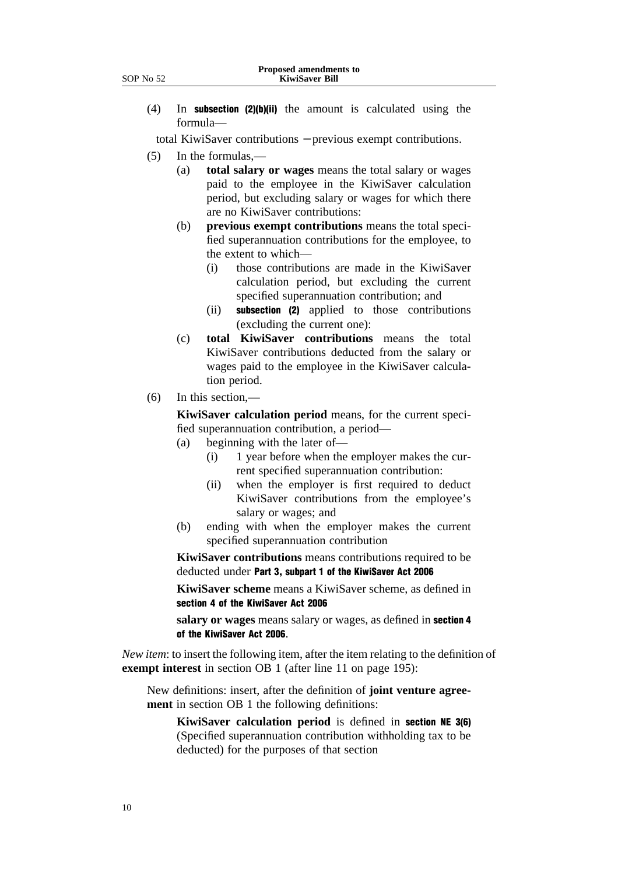(4) In subsection (2)(b)(ii) the amount is calculated using the formula—

total KiwiSaver contributions − previous exempt contributions.

- (5) In the formulas,—
	- (a) **total salary or wages** means the total salary or wages paid to the employee in the KiwiSaver calculation period, but excluding salary or wages for which there are no KiwiSaver contributions:
	- (b) **previous exempt contributions** means the total specified superannuation contributions for the employee, to the extent to which—
		- (i) those contributions are made in the KiwiSaver calculation period, but excluding the current specified superannuation contribution; and
		- (ii) subsection (2) applied to those contributions (excluding the current one):
	- (c) **total KiwiSaver contributions** means the total KiwiSaver contributions deducted from the salary or wages paid to the employee in the KiwiSaver calculation period.
- (6) In this section,—

**KiwiSaver calculation period** means, for the current specified superannuation contribution, a period—

- (a) beginning with the later of—
	- (i) 1 year before when the employer makes the current specified superannuation contribution:
	- (ii) when the employer is first required to deduct KiwiSaver contributions from the employee's salary or wages; and
- (b) ending with when the employer makes the current specified superannuation contribution

**KiwiSaver contributions** means contributions required to be deducted under Part 3, subpart 1 of the KiwiSaver Act 2006

**KiwiSaver scheme** means a KiwiSaver scheme, as defined in section 4 of the KiwiSaver Act 2006

**salary or wages** means salary or wages, as defined in section 4 of the KiwiSaver Act 2006.

*New item*: to insert the following item, after the item relating to the definition of **exempt interest** in section OB 1 (after line 11 on page 195):

New definitions: insert, after the definition of **joint venture agreement** in section OB 1 the following definitions:

**KiwiSaver calculation period** is defined in section NE 3(6) (Specified superannuation contribution withholding tax to be deducted) for the purposes of that section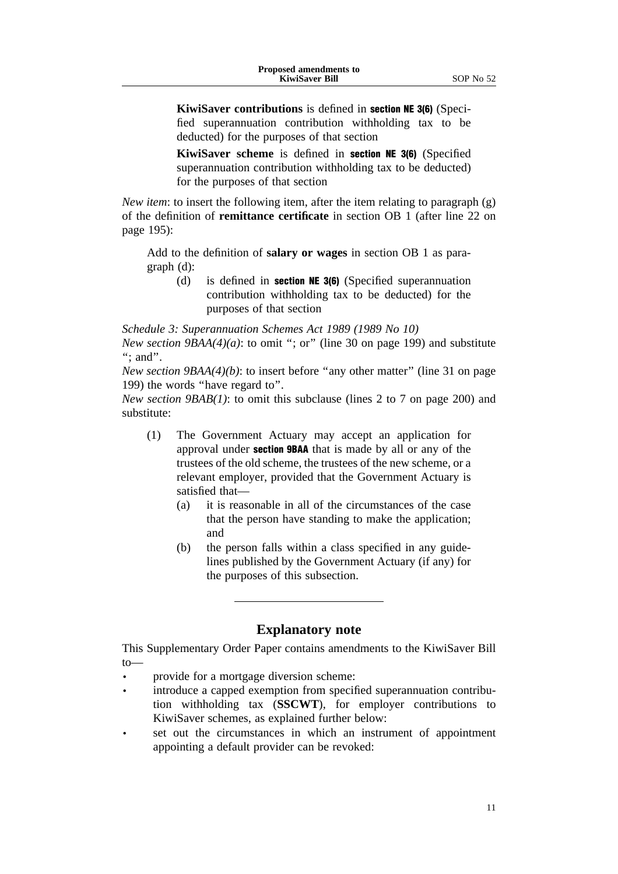**KiwiSaver contributions** is defined in section NE 3(6) (Specified superannuation contribution withholding tax to be deducted) for the purposes of that section

**KiwiSaver scheme** is defined in section NE 3(6) (Specified superannuation contribution withholding tax to be deducted) for the purposes of that section

*New item*: to insert the following item, after the item relating to paragraph (g) of the definition of **remittance certificate** in section OB 1 (after line 22 on page 195):

Add to the definition of **salary or wages** in section OB 1 as paragraph (d):

(d) is defined in section NE 3(6) (Specified superannuation contribution withholding tax to be deducted) for the purposes of that section

*Schedule 3: Superannuation Schemes Act 1989 (1989 No 10) New section 9BAA(4)(a)*: to omit "; or" (line 30 on page 199) and substitute "; and".

*New section 9BAA(4)(b)*: to insert before "any other matter" (line 31 on page) 199) the words ''have regard to''.

*New section 9BAB(1)*: to omit this subclause (lines 2 to 7 on page 200) and substitute:

- (1) The Government Actuary may accept an application for approval under section 9BAA that is made by all or any of the trustees of the old scheme, the trustees of the new scheme, or a relevant employer, provided that the Government Actuary is satisfied that—
	- (a) it is reasonable in all of the circumstances of the case that the person have standing to make the application; and
	- (b) the person falls within a class specified in any guidelines published by the Government Actuary (if any) for the purposes of this subsection.

## **Explanatory note**

This Supplementary Order Paper contains amendments to the KiwiSaver Bill to—

- provide for a mortgage diversion scheme:
- introduce a capped exemption from specified superannuation contribution withholding tax (**SSCWT**), for employer contributions to KiwiSaver schemes, as explained further below:
- set out the circumstances in which an instrument of appointment appointing a default provider can be revoked: